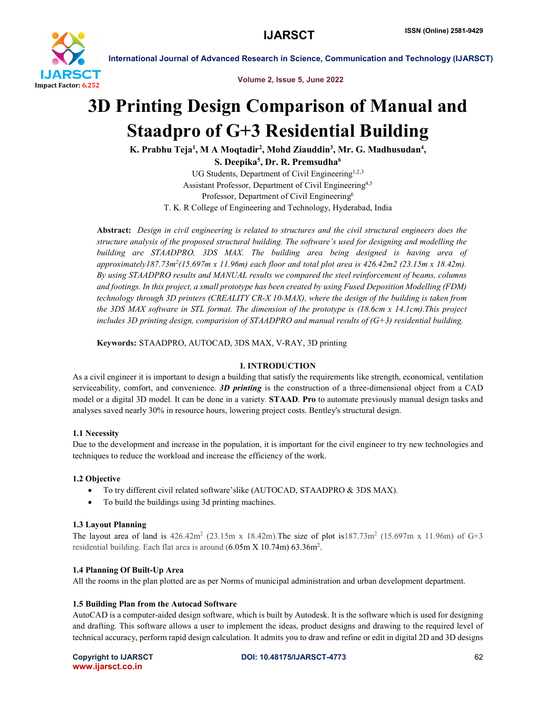

Volume 2, Issue 5, June 2022

# 3D Printing Design Comparison of Manual and Staadpro of G+3 Residential Building

K. Prabhu Teja<sup>1</sup>, M A Moqtadir<sup>2</sup>, Mohd Ziauddin<sup>3</sup>, Mr. G. Madhusudan<sup>4</sup>,

S. Deepika $^5\!$ , Dr. R. Premsudha $^6\!$ 

UG Students, Department of Civil Engineering<sup>1,2,3</sup> Assistant Professor, Department of Civil Engineering<sup>4,5</sup> Professor, Department of Civil Engineering<sup>6</sup> T. K. R College of Engineering and Technology, Hyderabad, India

Abstract: *Design in civil engineering is related to structures and the civil structural engineers does the structure analysis of the proposed structural building. The software's used for designing and modelling the building are STAADPRO, 3DS MAX. The building area being designed is having area of approximately187.73m2(15.697m x 11.96m) each floor and total plot area is 426.42m2 (23.15m x 18.42m). By using STAADPRO results and MANUAL results we compared the steel reinforcement of beams, columns and footings. In this project, a small prototype has been created by using Fused Deposition Modelling (FDM) technology through 3D printers (CREALITY CR-X 10-MAX), where the design of the building is taken from the 3DS MAX software in STL format. The dimension of the prototype is (18.6cm x 14.1cm).This project includes 3D printing design, comparision of STAADPRO and manual results of (G+3) residential building.*

Keywords: STAADPRO, AUTOCAD, 3DS MAX, V-RAY, 3D printing

# I. INTRODUCTION

As a civil engineer it is important to design a building that satisfy the requirements like strength, economical, ventilation serviceability, comfort, and convenience. *3D printing* is the construction of a three-dimensional object from a CAD model or a digital 3D model. It can be done in a variety. STAAD. Pro to automate previously manual design tasks and analyses saved nearly 30% in resource hours, lowering project costs. Bentley's structural design.

# 1.1 Necessity

Due to the development and increase in the population, it is important for the civil engineer to try new technologies and techniques to reduce the workload and increase the efficiency of the work.

# 1.2 Objective

- To try different civil related software'slike (AUTOCAD, STAADPRO & 3DS MAX).
- To build the buildings using 3d printing machines.

#### 1.3 Layout Planning

The layout area of land is  $426.42m^2$  (23.15m x 18.42m). The size of plot is187.73m<sup>2</sup> (15.697m x 11.96m) of G+3 residential building. Each flat area is around  $(6.05 \text{m X } 10.74 \text{m})$  63.36 $\text{m}^2$ .

# 1.4 Planning Of Built-Up Area

All the rooms in the plan plotted are as per Norms of municipal administration and urban development department.

#### 1.5 Building Plan from the Autocad Software

AutoCAD is a computer-aided design software, which is built by Autodesk. It is the software which is used for designing and drafting. This software allows a user to implement the ideas, product designs and drawing to the required level of technical accuracy, perform rapid design calculation. It admits you to draw and refine or edit in digital 2D and 3D designs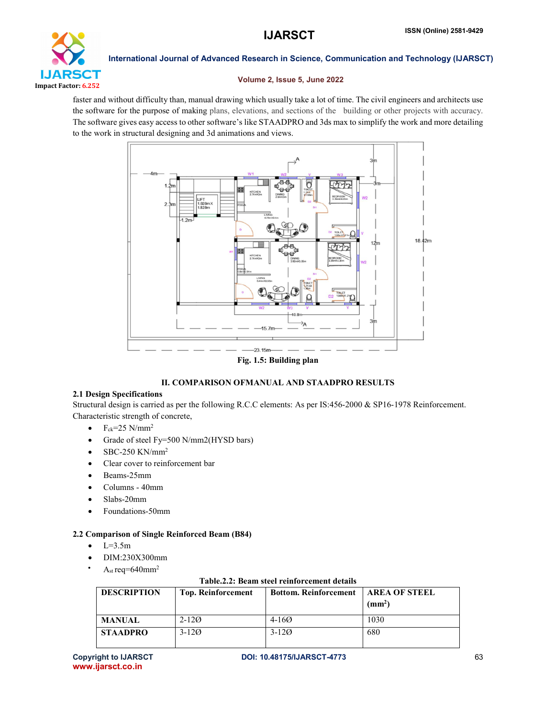

# Volume 2, Issue 5, June 2022

faster and without difficulty than, manual drawing which usually take a lot of time. The civil engineers and architects use the software for the purpose of making plans, elevations, and sections of the building or other projects with accuracy. The software gives easy access to other software's like STAADPRO and 3ds max to simplify the work and more detailing to the work in structural designing and 3d animations and views.



Fig. 1.5: Building plan

# II. COMPARISON OFMANUAL AND STAADPRO RESULTS

# 2.1 Design Specifications

Structural design is carried as per the following R.C.C elements: As per IS:456-2000 & SP16-1978 Reinforcement. Characteristic strength of concrete,

- $\bullet$  F<sub>ck</sub>=25 N/mm<sup>2</sup>
- Grade of steel Fy=500 N/mm2(HYSD bars)
- SBC-250 KN/mm2
- Clear cover to reinforcement bar
- Beams-25mm
- Columns 40mm
- Slabs-20mm
- Foundations-50mm

# 2.2 Comparison of Single Reinforced Beam (B84)

- $L=3.5m$
- DIM:230X300mm
- A<sub>st</sub> req= $640$ mm<sup>2</sup>

| <b>DESCRIPTION</b> | <b>Top. Reinforcement</b> | <b>Bottom. Reinforcement</b> | AREA OF STEEL<br>(mm <sup>2</sup> ) |  |  |
|--------------------|---------------------------|------------------------------|-------------------------------------|--|--|
| <b>MANUAL</b>      | $2 - 120$                 | $4 - 160$                    | 1030                                |  |  |
| <b>STAADPRO</b>    | $3 - 120$                 | $3 - 120$                    | 680                                 |  |  |

# Table.2.2: Beam steel reinforcement details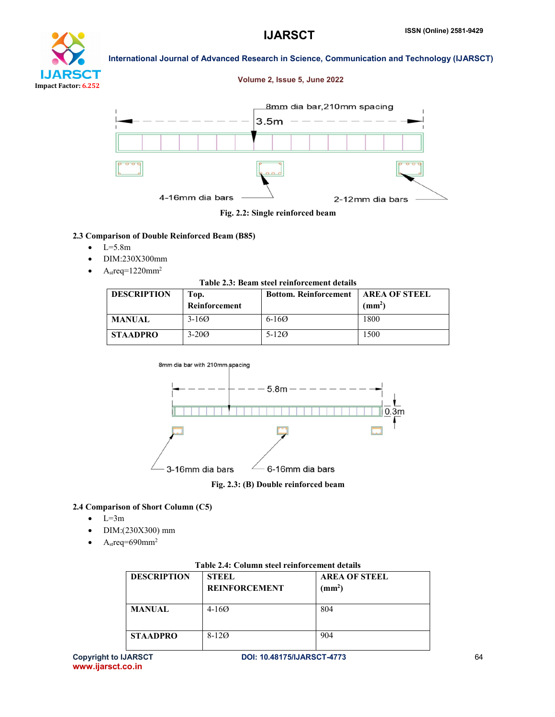# I JARS DП Impact Factor: 6.252

International Journal of Advanced Research in Science, Communication and Technology (IJARSCT)

# Volume 2, Issue 5, June 2022



Fig. 2.2: Single reinforced beam

# 2.3 Comparison of Double Reinforced Beam (B85)

- $-L=5.8m$
- DIM:230X300mm
- $A<sub>st</sub>req=1220mm<sup>2</sup>$

#### Table 2.3: Beam steel reinforcement details

| <b>DESCRIPTION</b> | Top.<br>Reinforcement | <b>Bottom. Reinforcement</b> | <b>AREA OF STEEL</b><br>(mm <sup>2</sup> ) |
|--------------------|-----------------------|------------------------------|--------------------------------------------|
| <b>MANUAL</b>      | $3 - 160$             | $6-160$                      | 1800                                       |
| <b>STAADPRO</b>    | $3 - 200$             | $5 - 120$                    | 1500                                       |



Fig. 2.3: (B) Double reinforced beam

# 2.4 Comparison of Short Column (C5)

- $-L=3m$
- DIM:(230X300) mm
- A<sub>st</sub>req=690mm<sup>2</sup>

| Table 2.4: Column steel reinforcement details |                                      |                                            |  |  |  |
|-----------------------------------------------|--------------------------------------|--------------------------------------------|--|--|--|
| <b>DESCRIPTION</b>                            | <b>STEEL</b><br><b>REINFORCEMENT</b> | <b>AREA OF STEEL</b><br>(mm <sup>2</sup> ) |  |  |  |
| <b>MANUAL</b>                                 | $4 - 160$                            | 804                                        |  |  |  |
| <b>STAADPRO</b>                               | $8-120$                              | 904                                        |  |  |  |

#### Table 2.4: Column steel reinforcement details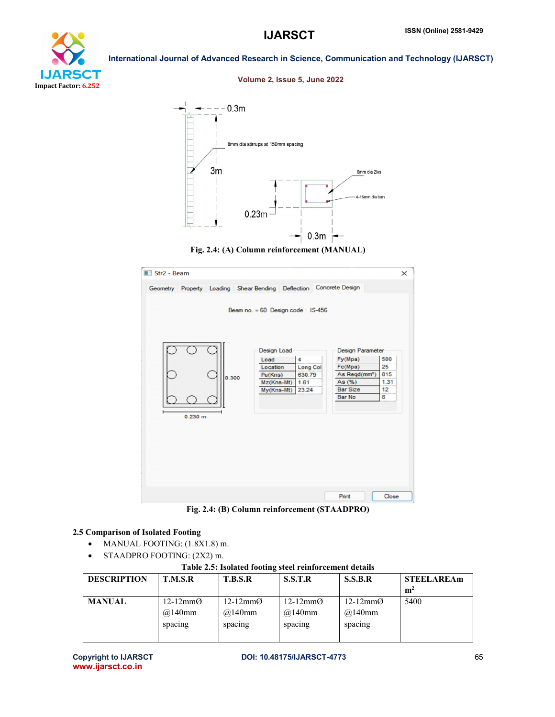# I JARS CT Impact Factor: 6.252

#### Volume 2, Issue 5, June 2022

International Journal of Advanced Research in Science, Communication and Technology (IJARSCT)







Fig. 2.4: (B) Column reinforcement (STAADPRO)

# 2.5 Comparison of Isolated Footing

- MANUAL FOOTING: (1.8X1.8) m.
- STAADPRO FOOTING: (2X2) m.

Table 2.5: Isolated footing steel reinforcement details

| <b>DESCRIPTION</b> | T.M.S.R                                                 | <b>T.B.S.R</b>                                       | S.S.T.R                                    | S.S.B.R                                                  | <b>STEELAREAm</b><br>m <sup>2</sup> |
|--------------------|---------------------------------------------------------|------------------------------------------------------|--------------------------------------------|----------------------------------------------------------|-------------------------------------|
| <b>MANUAL</b>      | $12-12 \text{mm}$ $\varnothing$<br>$@140$ mm<br>spacing | $12-12 \text{mm}$ $\varnothing$<br>@140mm<br>spacing | $12-12 \text{mm}$<br>$@.140$ mm<br>spacing | $12-12 \text{mm}$ $\varnothing$<br>$@.140$ mm<br>spacing | 5400                                |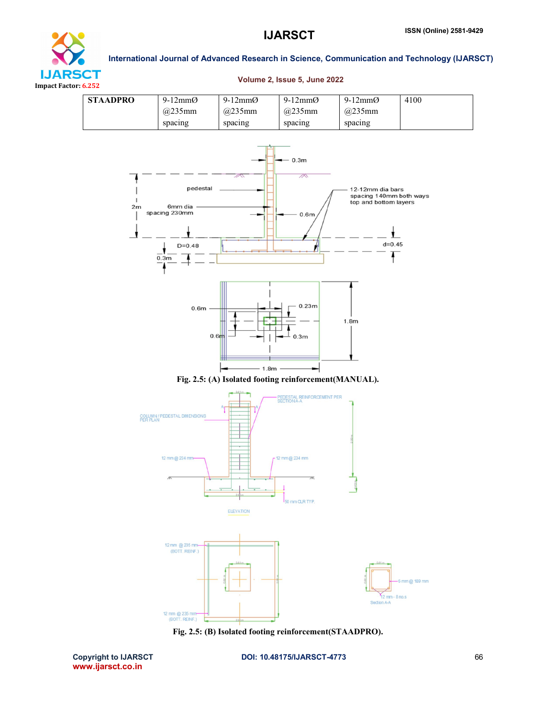4100



# International Journal of Advanced Research in Science, Communication and Technology (IJARSCT)

9-12mmØ

9-12mmØ

|    | @235mm                                                               | @235mm           | @235mm                                                          | @235mm                                                                             |  |
|----|----------------------------------------------------------------------|------------------|-----------------------------------------------------------------|------------------------------------------------------------------------------------|--|
|    | spacing                                                              | spacing          | spacing                                                         | spacing                                                                            |  |
| 2m | pedestal<br>6mm dia<br>spacing 230mm<br>$D=0.48$<br>0.3 <sub>m</sub> | $\mathbb{Z}$     | 0.3 <sub>m</sub><br>$\overline{\mathbb{A}}$<br>0.6 <sub>m</sub> | 12-12mm dia bars<br>spacing 140mm both ways<br>top and bottom layers<br>$d = 0.45$ |  |
|    | 0.6 <sub>m</sub><br>0.6 <sub>m</sub>                                 |                  | 0.23m<br>0.3m                                                   | 1.8 <sub>m</sub>                                                                   |  |
|    |                                                                      | 1.8 <sub>m</sub> |                                                                 |                                                                                    |  |

#### Volume 2, Issue 5, June 2022

9-12mmØ





Fig. 2.5: (B) Isolated footing reinforcement(STAADPRO).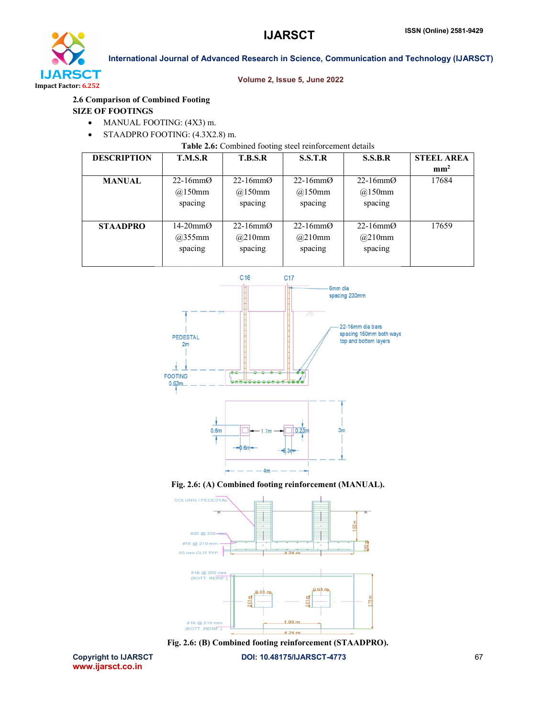

## Volume 2, Issue 5, June 2022

# 2.6 Comparison of Combined Footing

### SIZE OF FOOTINGS

- MANUAL FOOTING: (4X3) m.
- STAADPRO FOOTING: (4.3X2.8) m.

Table 2.6: Combined footing steel reinforcement details

| <b>DESCRIPTION</b> | T.M.S.R                         | <b>T.B.S.R</b> | S.S.T.R    | <b>S.S.B.R</b>     | <b>STEEL AREA</b> |
|--------------------|---------------------------------|----------------|------------|--------------------|-------------------|
|                    |                                 |                |            |                    | mm <sup>2</sup>   |
| <b>MANUAL</b>      | $22-16$ mm $\odot$              | 22-16 $mm$ Ø   | 22-16 $mm$ | $22-16$ mm $\odot$ | 17684             |
|                    | @150mm                          | @150mm         | @150mm     | @150mm             |                   |
|                    | spacing                         | spacing        | spacing    | spacing            |                   |
|                    |                                 |                |            |                    |                   |
| <b>STAADPRO</b>    | $14-20 \text{mm}$ $\varnothing$ | 22-16 $mm$     | 22-16 $mm$ | $22-16$ mm $\odot$ | 17659             |
|                    | @355mm                          | @210mm         | @210mm     | @210mm             |                   |
|                    | spacing                         | spacing        | spacing    | spacing            |                   |
|                    |                                 |                |            |                    |                   |









Copyright to IJARSCT **DOI: 10.48175/IJARSCT-4773** 67 www.ijarsct.co.in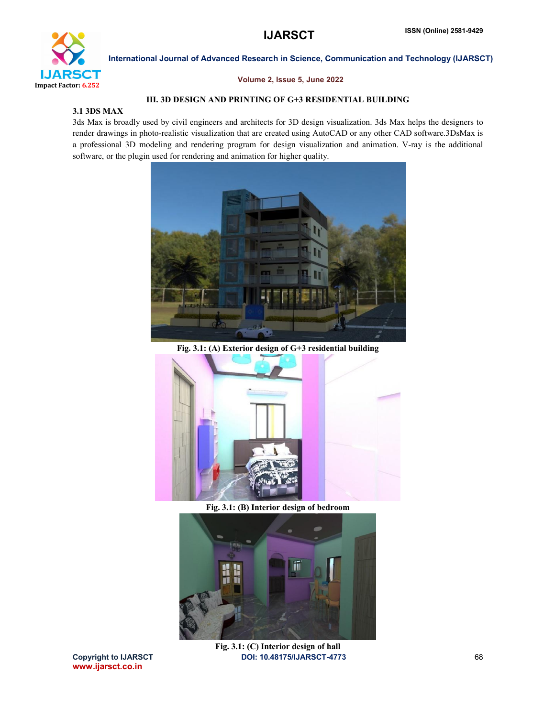

## Volume 2, Issue 5, June 2022

# III. 3D DESIGN AND PRINTING OF G+3 RESIDENTIAL BUILDING

# 3.1 3DS MAX

3ds Max is broadly used by civil engineers and architects for 3D design visualization. 3ds Max helps the designers to render drawings in photo-realistic visualization that are created using AutoCAD or any other CAD software.3DsMax is a professional 3D modeling and rendering program for design visualization and animation. V-ray is the additional software, or the plugin used for rendering and animation for higher quality.



Fig. 3.1: (A) Exterior design of G+3 residential building



Fig. 3.1: (B) Interior design of bedroom



www.ijarsct.co.in

Copyright to IJARSCT **DOI: 10.48175/IJARSCT-4773** 68 Fig. 3.1: (C) Interior design of hall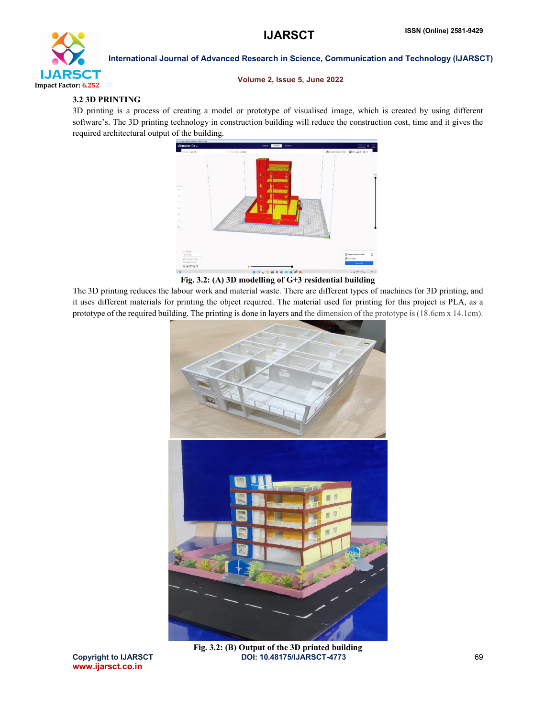

#### Volume 2, Issue 5, June 2022

# 3.2 3D PRINTING

3D printing is a process of creating a model or prototype of visualised image, which is created by using different software's. The 3D printing technology in construction building will reduce the construction cost, time and it gives the required architectural output of the building.



Fig. 3.2: (A) 3D modelling of G+3 residential building

The 3D printing reduces the labour work and material waste. There are different types of machines for 3D printing, and it uses different materials for printing the object required. The material used for printing for this project is PLA, as a prototype of the required building. The printing is done in layers and the dimension of the prototype is (18.6cm x 14.1cm).



Copyright to IJARSCT **DOI: 10.48175/IJARSCT-4773** 69 Fig. 3.2: (B) Output of the 3D printed building